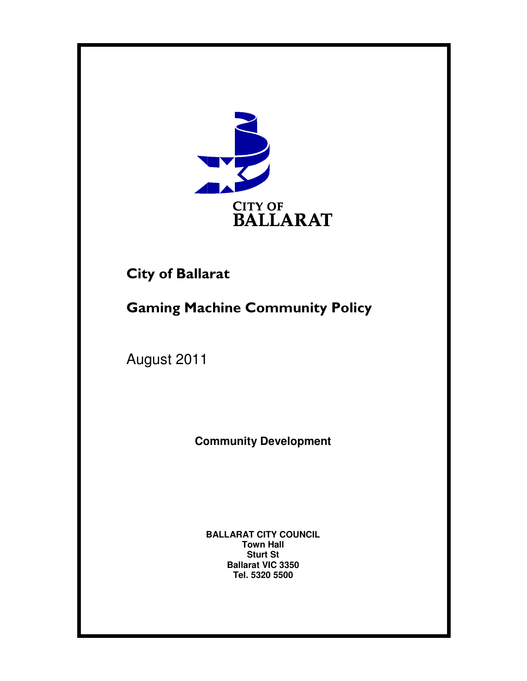

# **City of Ballarat**

# City of Ballarat<br>Gaming Machine Community Policy

August 2011

**Community Development Community Development**

BALLARAT CITY COUNCIL<br>Town Hall **Sturt St Ballarat VIC 3350 Tel. 5320 5500**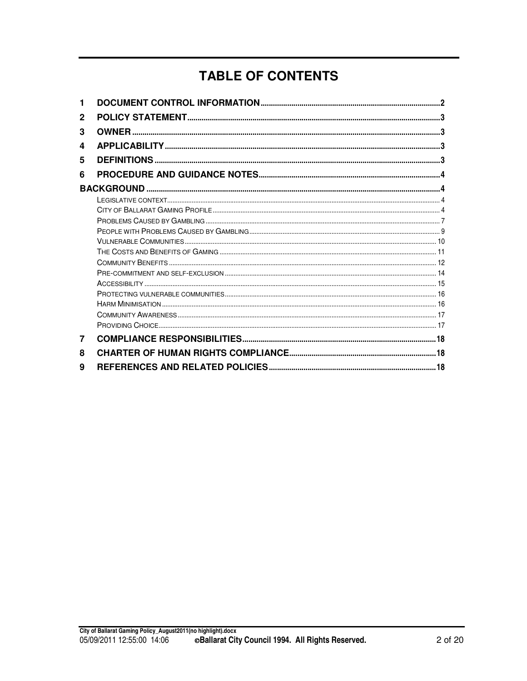# **TABLE OF CONTENTS**

| 2 |  |
|---|--|
| 3 |  |
| 4 |  |
| 5 |  |
| 6 |  |
|   |  |
|   |  |
|   |  |
|   |  |
|   |  |
|   |  |
|   |  |
|   |  |
|   |  |
|   |  |
|   |  |
|   |  |
|   |  |
|   |  |
| 7 |  |
| 8 |  |
| 9 |  |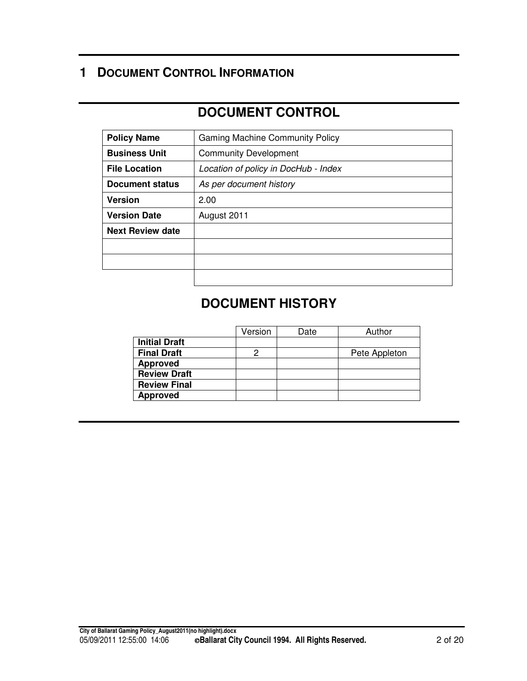## **1 DOCUMENT CONTROL INFORMATION**

## **DOCUMENT CONTROL**

| <b>Policy Name</b>                                           | <b>Gaming Machine Community Policy</b> |
|--------------------------------------------------------------|----------------------------------------|
| <b>Business Unit</b>                                         | <b>Community Development</b>           |
| <b>File Location</b><br>Location of policy in DocHub - Index |                                        |
| Document status                                              | As per document history                |
| <b>Version</b>                                               | 2.00                                   |
| <b>Version Date</b>                                          | August 2011                            |
| <b>Next Review date</b>                                      |                                        |
|                                                              |                                        |
|                                                              |                                        |
|                                                              |                                        |

## **DOCUMENT HISTORY**

|                      | Version | Date | Author        |
|----------------------|---------|------|---------------|
| <b>Initial Draft</b> |         |      |               |
| <b>Final Draft</b>   | 2       |      | Pete Appleton |
| <b>Approved</b>      |         |      |               |
| <b>Review Draft</b>  |         |      |               |
| <b>Review Final</b>  |         |      |               |
| <b>Approved</b>      |         |      |               |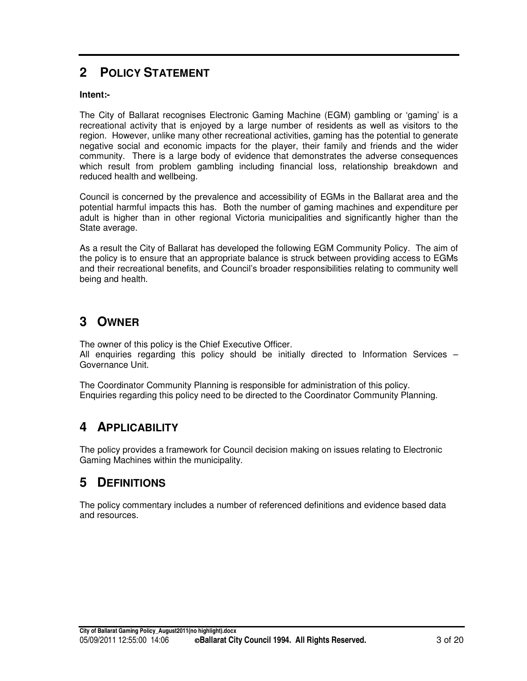## **2 POLICY STATEMENT**

#### **Intent:-**

The City of Ballarat recognises Electronic Gaming Machine (EGM) gambling or 'gaming' is a recreational activity that is enjoyed by a large number of residents as well as visitors to the region. However, unlike many other recreational activities, gaming has the potential to generate negative social and economic impacts for the player, their family and friends and the wider community. There is a large body of evidence that demonstrates the adverse consequences which result from problem gambling including financial loss, relationship breakdown and reduced health and wellbeing.

Council is concerned by the prevalence and accessibility of EGMs in the Ballarat area and the potential harmful impacts this has. Both the number of gaming machines and expenditure per adult is higher than in other regional Victoria municipalities and significantly higher than the State average.

As a result the City of Ballarat has developed the following EGM Community Policy. The aim of the policy is to ensure that an appropriate balance is struck between providing access to EGMs and their recreational benefits, and Council's broader responsibilities relating to community well being and health.

## **3 OWNER**

The owner of this policy is the Chief Executive Officer. All enquiries regarding this policy should be initially directed to Information Services – Governance Unit.

The Coordinator Community Planning is responsible for administration of this policy. Enquiries regarding this policy need to be directed to the Coordinator Community Planning.

## **4 APPLICABILITY**

The policy provides a framework for Council decision making on issues relating to Electronic Gaming Machines within the municipality.

### **5 DEFINITIONS**

The policy commentary includes a number of referenced definitions and evidence based data and resources.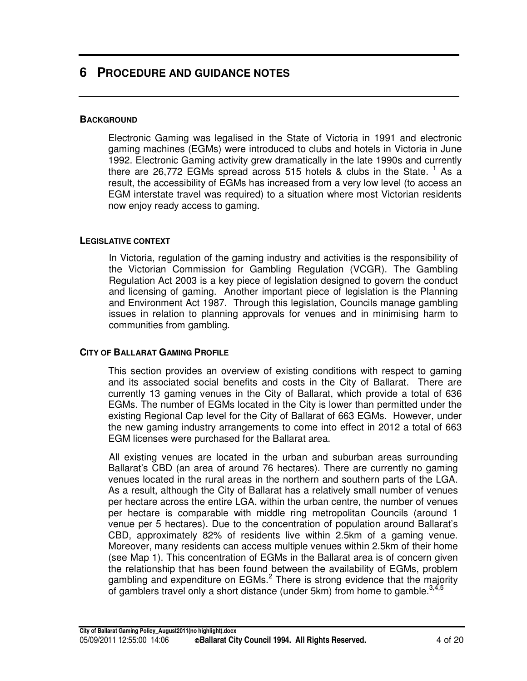## **6 PROCEDURE AND GUIDANCE NOTES**

#### **BACKGROUND**

Electronic Gaming was legalised in the State of Victoria in 1991 and electronic gaming machines (EGMs) were introduced to clubs and hotels in Victoria in June 1992. Electronic Gaming activity grew dramatically in the late 1990s and currently there are 26,772 EGMs spread across 515 hotels & clubs in the State.<sup>1</sup> As a result, the accessibility of EGMs has increased from a very low level (to access an EGM interstate travel was required) to a situation where most Victorian residents now enjoy ready access to gaming.

#### **LEGISLATIVE CONTEXT**

In Victoria, regulation of the gaming industry and activities is the responsibility of the Victorian Commission for Gambling Regulation (VCGR). The Gambling Regulation Act 2003 is a key piece of legislation designed to govern the conduct and licensing of gaming. Another important piece of legislation is the Planning and Environment Act 1987. Through this legislation, Councils manage gambling issues in relation to planning approvals for venues and in minimising harm to communities from gambling.

#### **CITY OF BALLARAT GAMING PROFILE**

This section provides an overview of existing conditions with respect to gaming and its associated social benefits and costs in the City of Ballarat. There are currently 13 gaming venues in the City of Ballarat, which provide a total of 636 EGMs. The number of EGMs located in the City is lower than permitted under the existing Regional Cap level for the City of Ballarat of 663 EGMs. However, under the new gaming industry arrangements to come into effect in 2012 a total of 663 EGM licenses were purchased for the Ballarat area.

All existing venues are located in the urban and suburban areas surrounding Ballarat's CBD (an area of around 76 hectares). There are currently no gaming venues located in the rural areas in the northern and southern parts of the LGA. As a result, although the City of Ballarat has a relatively small number of venues per hectare across the entire LGA, within the urban centre, the number of venues per hectare is comparable with middle ring metropolitan Councils (around 1 venue per 5 hectares). Due to the concentration of population around Ballarat's CBD, approximately 82% of residents live within 2.5km of a gaming venue. Moreover, many residents can access multiple venues within 2.5km of their home (see Map 1). This concentration of EGMs in the Ballarat area is of concern given the relationship that has been found between the availability of EGMs, problem gambling and expenditure on EGMs.<sup>2</sup> There is strong evidence that the majority of gamblers travel only a short distance (under 5km) from home to gamble.<sup>3,4,5</sup>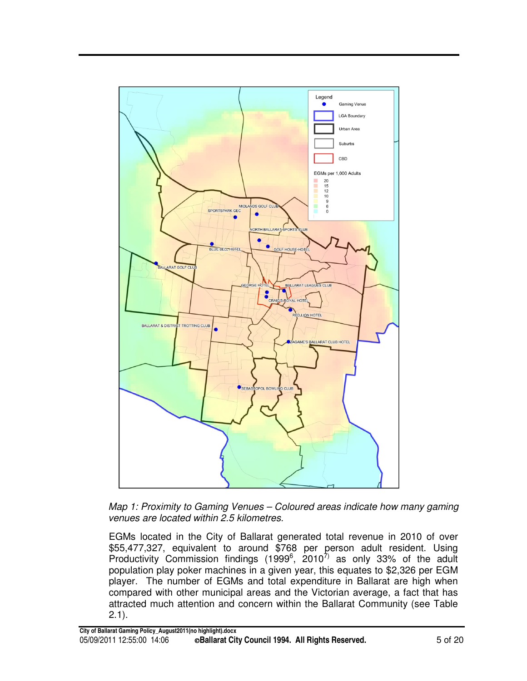

*Map 1: Proximity to Gaming Venues – Coloured areas indicate how many gaming venues are located within 2.5 kilometres.*

EGMs located in the City of Ballarat generated total revenue in 2010 of over \$55,477,327, equivalent to around \$768 per person adult resident. Using Productivity Commission findings (1999 $^6$ , 2010 $^7$ ) as only 33% of the adult population play poker machines in a given year, this equates to \$2,326 per EGM player. The number of EGMs and total expenditure in Ballarat are high when compared with other municipal areas and the Victorian average, a fact that has attracted much attention and concern within the Ballarat Community (see Table 2.1).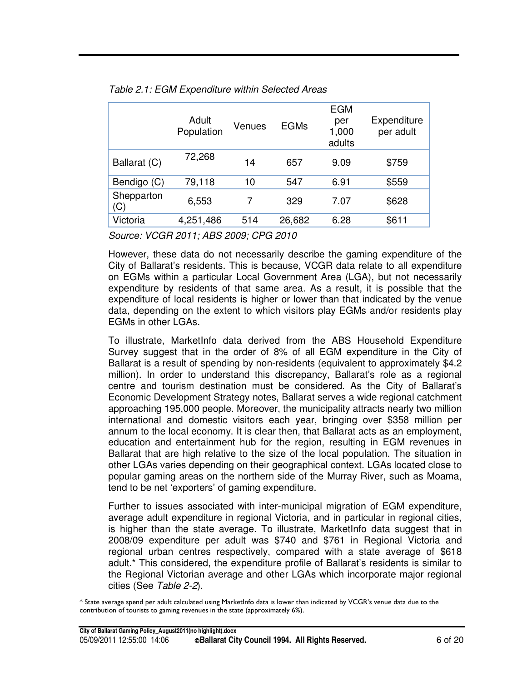|                   | Adult<br>Population | Venues | <b>EGMs</b> | <b>EGM</b><br>per<br>1,000<br>adults | Expenditure<br>per adult |
|-------------------|---------------------|--------|-------------|--------------------------------------|--------------------------|
| Ballarat (C)      | 72,268              | 14     | 657         | 9.09                                 | \$759                    |
| Bendigo (C)       | 79,118              | 10     | 547         | 6.91                                 | \$559                    |
| Shepparton<br>(C) | 6,553               | 7      | 329         | 7.07                                 | \$628                    |
| Victoria          | 4,251,486           | 514    | 26,682      | 6.28                                 | \$611                    |

*Table 2.1: EGM Expenditure within Selected Areas*

*Source: VCGR 2011; ABS 2009; CPG 2010*

However, these data do not necessarily describe the gaming expenditure of the City of Ballarat's residents. This is because, VCGR data relate to all expenditure on EGMs within a particular Local Government Area (LGA), but not necessarily expenditure by residents of that same area. As a result, it is possible that the expenditure of local residents is higher or lower than that indicated by the venue data, depending on the extent to which visitors play EGMs and/or residents play EGMs in other LGAs.

To illustrate, MarketInfo data derived from the ABS Household Expenditure Survey suggest that in the order of 8% of all EGM expenditure in the City of Ballarat is a result of spending by non-residents (equivalent to approximately \$4.2 million). In order to understand this discrepancy, Ballarat's role as a regional centre and tourism destination must be considered. As the City of Ballarat's Economic Development Strategy notes, Ballarat serves a wide regional catchment approaching 195,000 people. Moreover, the municipality attracts nearly two million international and domestic visitors each year, bringing over \$358 million per annum to the local economy. It is clear then, that Ballarat acts as an employment, education and entertainment hub for the region, resulting in EGM revenues in Ballarat that are high relative to the size of the local population. The situation in other LGAs varies depending on their geographical context. LGAs located close to popular gaming areas on the northern side of the Murray River, such as Moama, tend to be net 'exporters' of gaming expenditure.

Further to issues associated with inter-municipal migration of EGM expenditure, average adult expenditure in regional Victoria, and in particular in regional cities, is higher than the state average. To illustrate, MarketInfo data suggest that in 2008/09 expenditure per adult was \$740 and \$761 in Regional Victoria and regional urban centres respectively, compared with a state average of \$618 adult.\* This considered, the expenditure profile of Ballarat's residents is similar to the Regional Victorian average and other LGAs which incorporate major regional cities (See *Table 2-2*).

 $\rm *$  State average spend per adult calculated using MarketInfo data is lower than indicated by VCGR's venue data due to the contribution of tourists to gaming revenues in the state (approximately 6%).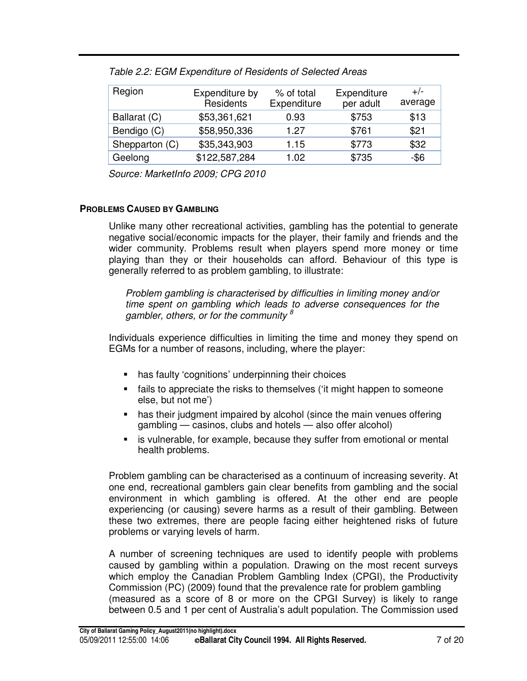| Region         | Expenditure by<br>Residents | % of total<br>Expenditure | Expenditure<br>per adult | $+/-$<br>average |
|----------------|-----------------------------|---------------------------|--------------------------|------------------|
| Ballarat (C)   | \$53,361,621                | 0.93                      | \$753                    | \$13             |
| Bendigo (C)    | \$58,950,336                | 1.27                      | \$761                    | \$21             |
| Shepparton (C) | \$35,343,903                | 1.15                      | \$773                    | \$32             |
| Geelong        | \$122,587,284               | 1.02                      | \$735                    | $-$ \$6          |

*Table 2.2: EGM Expenditure of Residents of Selected Areas*

*Source: MarketInfo 2009; CPG 2010*

#### **PROBLEMS CAUSED BY GAMBLING**

Unlike many other recreational activities, gambling has the potential to generate negative social/economic impacts for the player, their family and friends and the wider community. Problems result when players spend more money or time playing than they or their households can afford. Behaviour of this type is generally referred to as problem gambling, to illustrate:

*Problem gambling is characterised by difficulties in limiting money and/or time spent on gambling which leads to adverse consequences for the gambler, others, or for the community 8*

Individuals experience difficulties in limiting the time and money they spend on EGMs for a number of reasons, including, where the player:

- has faulty 'cognitions' underpinning their choices
- fails to appreciate the risks to themselves ('it might happen to someone else, but not me')
- has their judgment impaired by alcohol (since the main venues offering gambling — casinos, clubs and hotels — also offer alcohol)
- is vulnerable, for example, because they suffer from emotional or mental health problems.

Problem gambling can be characterised as a continuum of increasing severity. At one end, recreational gamblers gain clear benefits from gambling and the social environment in which gambling is offered. At the other end are people experiencing (or causing) severe harms as a result of their gambling. Between these two extremes, there are people facing either heightened risks of future problems or varying levels of harm.

A number of screening techniques are used to identify people with problems caused by gambling within a population. Drawing on the most recent surveys which employ the Canadian Problem Gambling Index (CPGI), the Productivity Commission (PC) (2009) found that the prevalence rate for problem gambling (measured as a score of 8 or more on the CPGI Survey) is likely to range between 0.5 and 1 per cent of Australia's adult population. The Commission used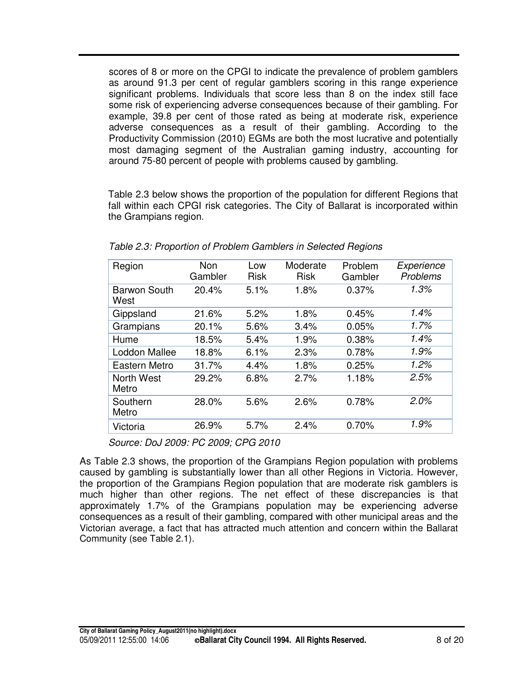scores of 8 or more on the CPGI to indicate the prevalence of problem gamblers as around 91.3 per cent of regular gamblers scoring in this range experience significant problems. Individuals that score less than 8 on the index still face some risk of experiencing adverse consequences because of their gambling. For example, 39.8 per cent of those rated as being at moderate risk, experience adverse consequences as a result of their gambling. According to the Productivity Commission (2010) EGMs are both the most lucrative and potentially most damaging segment of the Australian gaming industry, accounting for around 75-80 percent of people with problems caused by gambling.

Table 2.3 below shows the proportion of the population for different Regions that fall within each CPGI risk categories. The City of Ballarat is incorporated within the Grampians region.

| Region                      | <b>Non</b><br>Gambler | Low<br><b>Risk</b> | Moderate<br><b>Risk</b> | Problem<br>Gambler | Experience<br>Problems |
|-----------------------------|-----------------------|--------------------|-------------------------|--------------------|------------------------|
| <b>Barwon South</b><br>West | 20.4%                 | 5.1%               | 1.8%                    | 0.37%              | 1.3%                   |
| Gippsland                   | 21.6%                 | 5.2%               | 1.8%                    | 0.45%              | 1.4%                   |
| Grampians                   | 20.1%                 | 5.6%               | 3.4%                    | 0.05%              | 1.7%                   |
| Hume                        | 18.5%                 | 5.4%               | 1.9%                    | 0.38%              | 1.4%                   |
| <b>Loddon Mallee</b>        | 18.8%                 | 6.1%               | 2.3%                    | 0.78%              | 1.9%                   |
| Eastern Metro               | 31.7%                 | 4.4%               | 1.8%                    | 0.25%              | 1.2%                   |
| North West<br>Metro         | 29.2%                 | 6.8%               | 2.7%                    | 1.18%              | 2.5%                   |
| Southern<br>Metro           | 28.0%                 | 5.6%               | 2.6%                    | 0.78%              | 2.0%                   |
| Victoria                    | 26.9%                 | 5.7%               | 2.4%                    | 0.70%              | 1.9%                   |

*Table 2.3: Proportion of Problem Gamblers in Selected Regions*

*Source: DoJ 2009: PC 2009; CPG 2010*

As Table 2.3 shows, the proportion of the Grampians Region population with problems caused by gambling is substantially lower than all other Regions in Victoria. However, the proportion of the Grampians Region population that are moderate risk gamblers is much higher than other regions. The net effect of these discrepancies is that approximately 1.7% of the Grampians population may be experiencing adverse consequences as a result of their gambling, compared with other municipal areas and the Victorian average, a fact that has attracted much attention and concern within the Ballarat Community (see Table 2.1).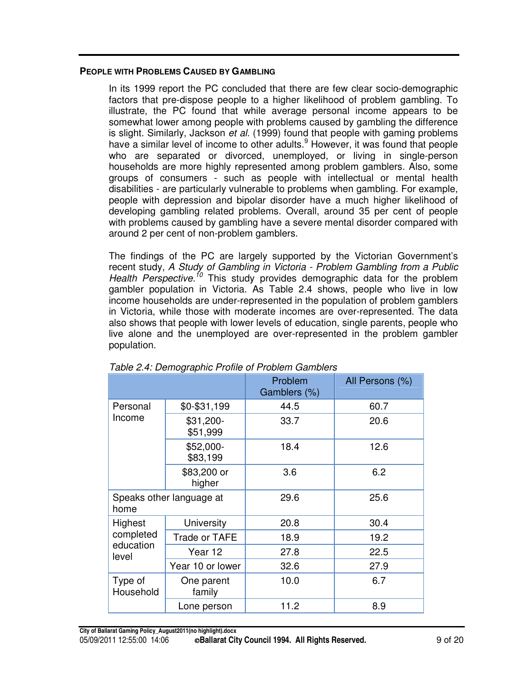#### **PEOPLE WITH PROBLEMS CAUSED BY GAMBLING**

In its 1999 report the PC concluded that there are few clear socio-demographic factors that pre-dispose people to a higher likelihood of problem gambling. To illustrate, the PC found that while average personal income appears to be somewhat lower among people with problems caused by gambling the difference is slight. Similarly, Jackson *et al.* (1999) found that people with gaming problems have a similar level of income to other adults.<sup>9</sup> However, it was found that people who are separated or divorced, unemployed, or living in single-person households are more highly represented among problem gamblers. Also, some groups of consumers - such as people with intellectual or mental health disabilities - are particularly vulnerable to problems when gambling. For example, people with depression and bipolar disorder have a much higher likelihood of developing gambling related problems. Overall, around 35 per cent of people with problems caused by gambling have a severe mental disorder compared with around 2 per cent of non-problem gamblers.

The findings of the PC are largely supported by the Victorian Government's recent study, *A Study of Gambling in Victoria - Problem Gambling from a Public Health Perspective. <sup>10</sup>* This study provides demographic data for the problem gambler population in Victoria. As Table 2.4 shows, people who live in low income households are under-represented in the population of problem gamblers in Victoria, while those with moderate incomes are over-represented. The data also shows that people with lower levels of education, single parents, people who live alone and the unemployed are over-represented in the problem gambler population.

|                                  |                       | Problem<br>Gamblers (%) | All Persons (%) |
|----------------------------------|-----------------------|-------------------------|-----------------|
| Personal                         | $$0 - $31,199$        | 44.5                    | 60.7            |
| Income                           | \$31,200-<br>\$51,999 | 33.7                    | 20.6            |
|                                  | \$52,000-<br>\$83,199 | 18.4                    | 12.6            |
|                                  | \$83,200 or<br>higher | 3.6                     | 6.2             |
| Speaks other language at<br>home |                       | 29.6                    | 25.6            |
| Highest                          | University            | 20.8                    | 30.4            |
| completed                        | Trade or TAFE         | 18.9                    | 19.2            |
| education<br>level               | Year 12               | 27.8                    | 22.5            |
|                                  | Year 10 or lower      | 32.6                    | 27.9            |
| Type of<br>Household             | One parent<br>family  | 10.0                    | 6.7             |
|                                  | Lone person           | 11.2                    | 8.9             |

*Table 2.4: Demographic Profile of Problem Gamblers*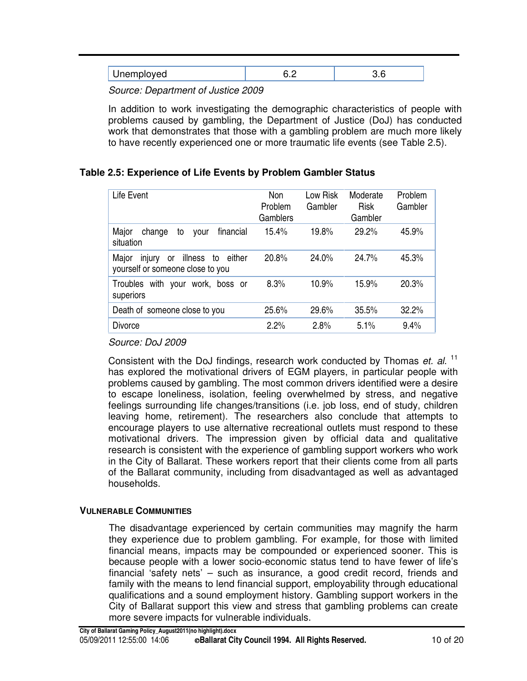*Source: Department of Justice 2009*

In addition to work investigating the demographic characteristics of people with problems caused by gambling, the Department of Justice (DoJ) has conducted work that demonstrates that those with a gambling problem are much more likely to have recently experienced one or more traumatic life events (see Table 2.5).

#### **Table 2.5: Experience of Life Events by Problem Gambler Status**

| Life Event                                                                               | <b>Non</b><br>Problem<br>Gamblers | Low Risk<br>Gambler | Moderate<br><b>Risk</b><br>Gambler | Problem<br>Gambler |
|------------------------------------------------------------------------------------------|-----------------------------------|---------------------|------------------------------------|--------------------|
| Major<br>financial<br>change<br>to<br>vour<br>situation                                  | 15.4%                             | 19.8%               | 29.2%                              | 45.9%              |
| Major<br>illness to<br>either<br>injury<br><b>or</b><br>yourself or someone close to you | 20.8%                             | 24.0%               | 24.7%                              | 45.3%              |
| Troubles with your<br>work, boss or<br>superiors                                         | 8.3%                              | 10.9%               | 15.9%                              | 20.3%              |
| Death of someone close to you                                                            | 25.6%                             | 29.6%               | 35.5%                              | 32.2%              |
| <b>Divorce</b>                                                                           | 2.2%                              | 2.8%                | 5.1%                               | 9.4%               |

*Source: DoJ 2009*

Consistent with the DoJ findings, research work conducted by Thomas *et. al*. 11 has explored the motivational drivers of EGM players, in particular people with problems caused by gambling. The most common drivers identified were a desire to escape loneliness, isolation, feeling overwhelmed by stress, and negative feelings surrounding life changes/transitions (i.e. job loss, end of study, children leaving home, retirement). The researchers also conclude that attempts to encourage players to use alternative recreational outlets must respond to these motivational drivers. The impression given by official data and qualitative research is consistent with the experience of gambling support workers who work in the City of Ballarat. These workers report that their clients come from all parts of the Ballarat community, including from disadvantaged as well as advantaged households.

#### **VULNERABLE COMMUNITIES**

The disadvantage experienced by certain communities may magnify the harm they experience due to problem gambling. For example, for those with limited financial means, impacts may be compounded or experienced sooner. This is because people with a lower socio-economic status tend to have fewer of life's financial 'safety nets' – such as insurance, a good credit record, friends and family with the means to lend financial support, employability through educational qualifications and a sound employment history. Gambling support workers in the City of Ballarat support this view and stress that gambling problems can create more severe impacts for vulnerable individuals.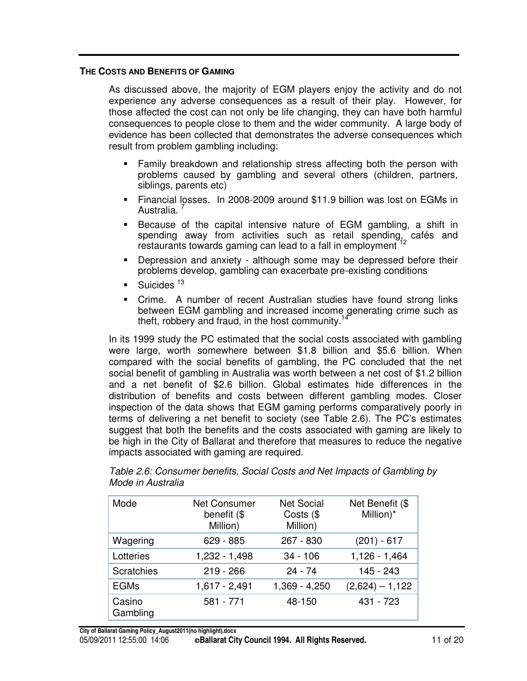#### **THE COSTS AND BENEFITS OF GAMING**

As discussed above, the majority of EGM players enjoy the activity and do not experience any adverse consequences as a result of their play. However, for those affected the cost can not only be life changing, they can have both harmful consequences to people close to them and the wider community. A large body of evidence has been collected that demonstrates the adverse consequences which result from problem gambling including:

- Family breakdown and relationship stress affecting both the person with problems caused by gambling and several others (children, partners, siblings, parents etc)
- Financial losses. In 2008-2009 around \$11.9 billion was lost on EGMs in Australia.<sup>7</sup>
- Because of the capital intensive nature of EGM gambling, a shift in spending away from activities such as retail spending, cafés and<br>restaurants.towards.gaming.can.load.to.a.fall.in.omployment.<sup>12</sup> restaurants towards gaming can lead to a fall in employment
- Depression and anxiety although some may be depressed before their problems develop, gambling can exacerbate pre-existing conditions
- Suicides<sup>13</sup>
- Crime. A number of recent Australian studies have found strong links between EGM gambling and increased income generating crime such as theft, robbery and fraud, in the host community.<sup>14</sup>

In its 1999 study the PC estimated that the social costs associated with gambling were large, worth somewhere between \$1.8 billion and \$5.6 billion. When compared with the social benefits of gambling, the PC concluded that the net social benefit of gambling in Australia was worth between a net cost of \$1.2 billion and a net benefit of \$2.6 billion. Global estimates hide differences in the distribution of benefits and costs between different gambling modes. Closer inspection of the data shows that EGM gaming performs comparatively poorly in terms of delivering a net benefit to society (see Table 2.6). The PC's estimates suggest that both the benefits and the costs associated with gaming are likely to be high in the City of Ballarat and therefore that measures to reduce the negative impacts associated with gaming are required.

| Mode               | <b>Net Consumer</b><br>benefit (\$<br>Million) | <b>Net Social</b><br>Costs $(\$<br>Million) | Net Benefit (\$<br>Million)* |
|--------------------|------------------------------------------------|---------------------------------------------|------------------------------|
| Wagering           | 629 - 885                                      | $267 - 830$                                 | $(201) - 617$                |
| Lotteries          | 1,232 - 1,498                                  | $34 - 106$                                  | $1,126 - 1,464$              |
| Scratchies         | $219 - 266$                                    | $24 - 74$                                   | 145 - 243                    |
| <b>EGMs</b>        | $1,617 - 2,491$                                | 1,369 - 4,250                               | $(2,624) - 1,122$            |
| Casino<br>Gambling | 581 - 771                                      | 48-150                                      | 431 - 723                    |

*Table 2.6: Consumer benefits, Social Costs and Net Impacts of Gambling by Mode in Australia*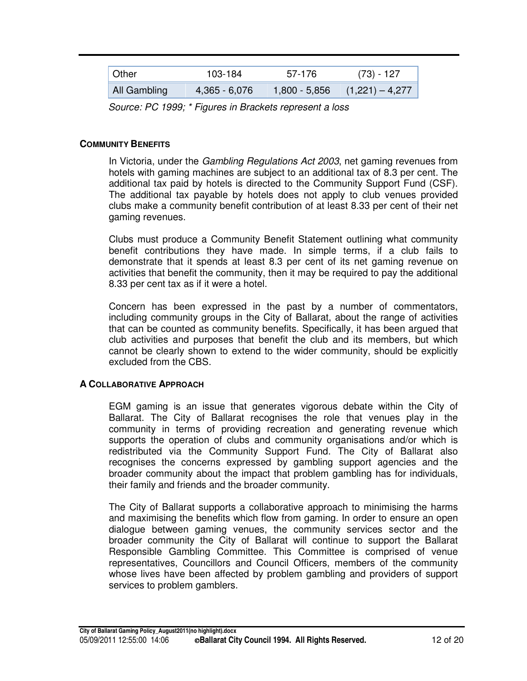| Other        | 103-184       | 57-176        | $(73) - 127$      |
|--------------|---------------|---------------|-------------------|
| All Gambling | 4,365 - 6,076 | 1,800 - 5,856 | $(1,221) - 4,277$ |

*Source: PC 1999; \* Figures in Brackets represent a loss*

#### **COMMUNITY BENEFITS**

In Victoria, under the *Gambling Regulations Act 2003*, net gaming revenues from hotels with gaming machines are subject to an additional tax of 8.3 per cent. The additional tax paid by hotels is directed to the Community Support Fund (CSF). The additional tax payable by hotels does not apply to club venues provided clubs make a community benefit contribution of at least 8.33 per cent of their net gaming revenues.

Clubs must produce a Community Benefit Statement outlining what community benefit contributions they have made. In simple terms, if a club fails to demonstrate that it spends at least 8.3 per cent of its net gaming revenue on activities that benefit the community, then it may be required to pay the additional 8.33 per cent tax as if it were a hotel.

Concern has been expressed in the past by a number of commentators, including community groups in the City of Ballarat, about the range of activities that can be counted as community benefits. Specifically, it has been argued that club activities and purposes that benefit the club and its members, but which cannot be clearly shown to extend to the wider community, should be explicitly excluded from the CBS.

#### **A COLLABORATIVE APPROACH**

EGM gaming is an issue that generates vigorous debate within the City of Ballarat. The City of Ballarat recognises the role that venues play in the community in terms of providing recreation and generating revenue which supports the operation of clubs and community organisations and/or which is redistributed via the Community Support Fund. The City of Ballarat also recognises the concerns expressed by gambling support agencies and the broader community about the impact that problem gambling has for individuals, their family and friends and the broader community.

The City of Ballarat supports a collaborative approach to minimising the harms and maximising the benefits which flow from gaming. In order to ensure an open dialogue between gaming venues, the community services sector and the broader community the City of Ballarat will continue to support the Ballarat Responsible Gambling Committee. This Committee is comprised of venue representatives, Councillors and Council Officers, members of the community whose lives have been affected by problem gambling and providers of support services to problem gamblers.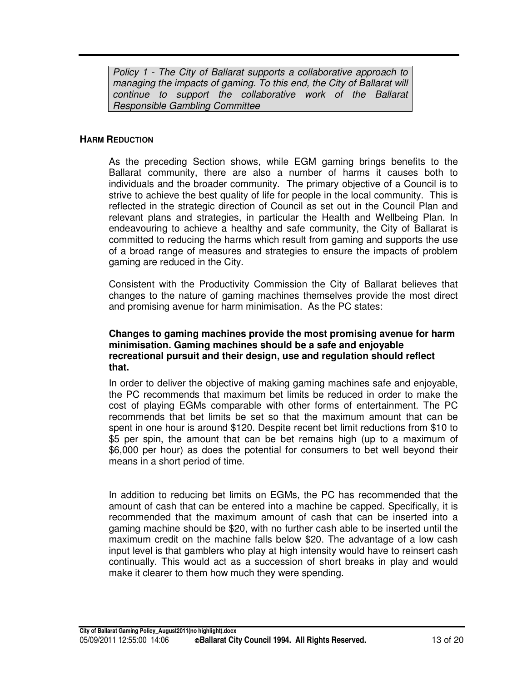*Policy 1 - The City of Ballarat supports a collaborative approach to managing the impacts of gaming. To this end, the City of Ballarat will continue to support the collaborative work of the Ballarat Responsible Gambling Committee*

#### **HARM REDUCTION**

As the preceding Section shows, while EGM gaming brings benefits to the Ballarat community, there are also a number of harms it causes both to individuals and the broader community. The primary objective of a Council is to strive to achieve the best quality of life for people in the local community. This is reflected in the strategic direction of Council as set out in the Council Plan and relevant plans and strategies, in particular the Health and Wellbeing Plan. In endeavouring to achieve a healthy and safe community, the City of Ballarat is committed to reducing the harms which result from gaming and supports the use of a broad range of measures and strategies to ensure the impacts of problem gaming are reduced in the City.

Consistent with the Productivity Commission the City of Ballarat believes that changes to the nature of gaming machines themselves provide the most direct and promising avenue for harm minimisation. As the PC states:

#### **Changes to gaming machines provide the most promising avenue for harm minimisation. Gaming machines should be a safe and enjoyable recreational pursuit and their design, use and regulation should reflect that.**

In order to deliver the objective of making gaming machines safe and enjoyable, the PC recommends that maximum bet limits be reduced in order to make the cost of playing EGMs comparable with other forms of entertainment. The PC recommends that bet limits be set so that the maximum amount that can be spent in one hour is around \$120. Despite recent bet limit reductions from \$10 to \$5 per spin, the amount that can be bet remains high (up to a maximum of \$6,000 per hour) as does the potential for consumers to bet well beyond their means in a short period of time.

In addition to reducing bet limits on EGMs, the PC has recommended that the amount of cash that can be entered into a machine be capped. Specifically, it is recommended that the maximum amount of cash that can be inserted into a gaming machine should be \$20, with no further cash able to be inserted until the maximum credit on the machine falls below \$20. The advantage of a low cash input level is that gamblers who play at high intensity would have to reinsert cash continually. This would act as a succession of short breaks in play and would make it clearer to them how much they were spending.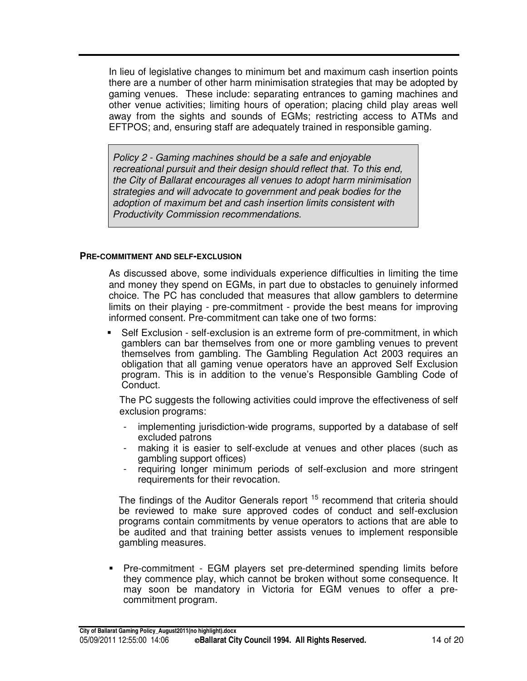In lieu of legislative changes to minimum bet and maximum cash insertion points there are a number of other harm minimisation strategies that may be adopted by gaming venues. These include: separating entrances to gaming machines and other venue activities; limiting hours of operation; placing child play areas well away from the sights and sounds of EGMs; restricting access to ATMs and EFTPOS; and, ensuring staff are adequately trained in responsible gaming.

*Policy 2 - Gaming machines should be a safe and enjoyable recreational pursuit and their design should reflect that. To this end, the City of Ballarat encourages all venues to adopt harm minimisation strategies and will advocate to government and peak bodies for the adoption of maximum bet and cash insertion limits consistent with Productivity Commission recommendations.*

#### **PRE-COMMITMENT AND SELF-EXCLUSION**

As discussed above, some individuals experience difficulties in limiting the time and money they spend on EGMs, in part due to obstacles to genuinely informed choice. The PC has concluded that measures that allow gamblers to determine limits on their playing - pre-commitment - provide the best means for improving informed consent. Pre-commitment can take one of two forms:

 Self Exclusion - self-exclusion is an extreme form of pre-commitment, in which gamblers can bar themselves from one or more gambling venues to prevent themselves from gambling. The Gambling Regulation Act 2003 requires an obligation that all gaming venue operators have an approved Self Exclusion program. This is in addition to the venue's Responsible Gambling Code of Conduct.

The PC suggests the following activities could improve the effectiveness of self exclusion programs:

- implementing jurisdiction-wide programs, supported by a database of self excluded patrons
- making it is easier to self-exclude at venues and other places (such as gambling support offices)
- requiring longer minimum periods of self-exclusion and more stringent requirements for their revocation.

The findings of the Auditor Generals report <sup>15</sup> recommend that criteria should be reviewed to make sure approved codes of conduct and self-exclusion programs contain commitments by venue operators to actions that are able to be audited and that training better assists venues to implement responsible gambling measures.

 Pre-commitment - EGM players set pre-determined spending limits before they commence play, which cannot be broken without some consequence. It may soon be mandatory in Victoria for EGM venues to offer a precommitment program.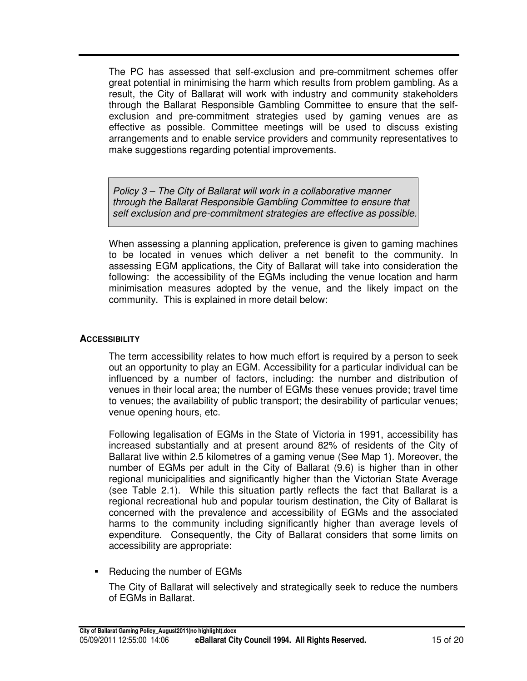The PC has assessed that self-exclusion and pre-commitment schemes offer great potential in minimising the harm which results from problem gambling. As a result, the City of Ballarat will work with industry and community stakeholders through the Ballarat Responsible Gambling Committee to ensure that the selfexclusion and pre-commitment strategies used by gaming venues are as effective as possible. Committee meetings will be used to discuss existing arrangements and to enable service providers and community representatives to make suggestions regarding potential improvements.

*Policy 3 – The City of Ballarat will work in a collaborative manner through the Ballarat Responsible Gambling Committee to ensure that self exclusion and pre-commitment strategies are effective as possible.*

When assessing a planning application, preference is given to gaming machines to be located in venues which deliver a net benefit to the community. In assessing EGM applications, the City of Ballarat will take into consideration the following: the accessibility of the EGMs including the venue location and harm minimisation measures adopted by the venue, and the likely impact on the community. This is explained in more detail below:

#### **ACCESSIBILITY**

The term accessibility relates to how much effort is required by a person to seek out an opportunity to play an EGM. Accessibility for a particular individual can be influenced by a number of factors, including: the number and distribution of venues in their local area; the number of EGMs these venues provide; travel time to venues; the availability of public transport; the desirability of particular venues; venue opening hours, etc.

Following legalisation of EGMs in the State of Victoria in 1991, accessibility has increased substantially and at present around 82% of residents of the City of Ballarat live within 2.5 kilometres of a gaming venue (See Map 1). Moreover, the number of EGMs per adult in the City of Ballarat (9.6) is higher than in other regional municipalities and significantly higher than the Victorian State Average (see Table 2.1). While this situation partly reflects the fact that Ballarat is a regional recreational hub and popular tourism destination, the City of Ballarat is concerned with the prevalence and accessibility of EGMs and the associated harms to the community including significantly higher than average levels of expenditure. Consequently, the City of Ballarat considers that some limits on accessibility are appropriate:

Reducing the number of EGMs

The City of Ballarat will selectively and strategically seek to reduce the numbers of EGMs in Ballarat.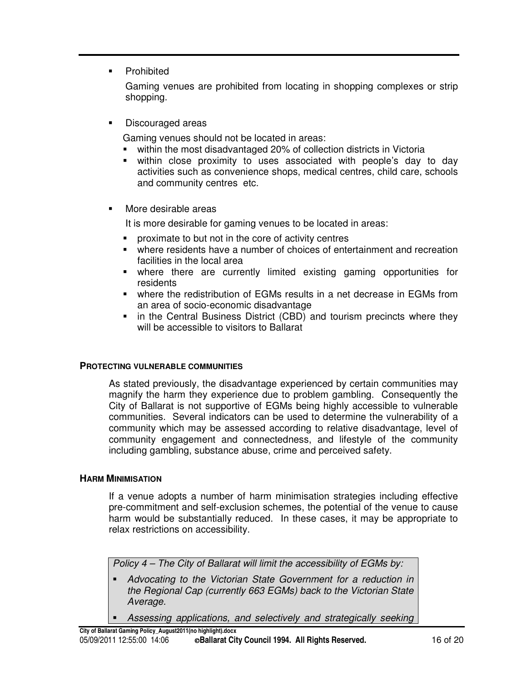**•** Prohibited

Gaming venues are prohibited from locating in shopping complexes or strip shopping.

**Discouraged areas** 

Gaming venues should not be located in areas:

- within the most disadvantaged 20% of collection districts in Victoria
- within close proximity to uses associated with people's day to day activities such as convenience shops, medical centres, child care, schools and community centres etc.
- More desirable areas

It is more desirable for gaming venues to be located in areas:

- **PED PROXIMATE TO BUT A LOCAL THE CORP OF ACTIVITY CENTERS**
- where residents have a number of choices of entertainment and recreation facilities in the local area
- where there are currently limited existing gaming opportunities for residents
- where the redistribution of EGMs results in a net decrease in EGMs from an area of socio-economic disadvantage
- in the Central Business District (CBD) and tourism precincts where they will be accessible to visitors to Ballarat

#### **PROTECTING VULNERABLE COMMUNITIES**

As stated previously, the disadvantage experienced by certain communities may magnify the harm they experience due to problem gambling. Consequently the City of Ballarat is not supportive of EGMs being highly accessible to vulnerable communities. Several indicators can be used to determine the vulnerability of a community which may be assessed according to relative disadvantage, level of community engagement and connectedness, and lifestyle of the community including gambling, substance abuse, crime and perceived safety.

#### **HARM MINIMISATION**

If a venue adopts a number of harm minimisation strategies including effective pre-commitment and self-exclusion schemes, the potential of the venue to cause harm would be substantially reduced. In these cases, it may be appropriate to relax restrictions on accessibility.

*Policy 4 – The City of Ballarat will limit the accessibility of EGMs by:*

- *Advocating to the Victorian State Government for a reduction in the Regional Cap (currently 663 EGMs) back to the Victorian State Average.*
- *Assessing applications, and selectively and strategically seeking*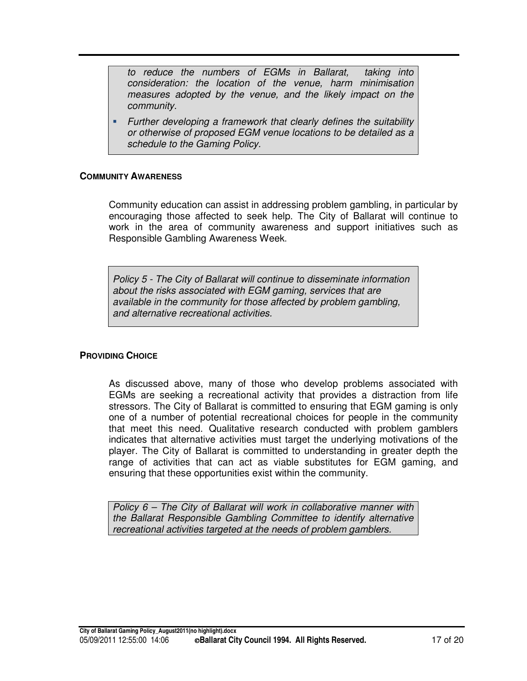*to reduce the numbers of EGMs in Ballarat, taking into consideration: the location of the venue, harm minimisation measures adopted by the venue, and the likely impact on the community.*

 *Further developing a framework that clearly defines the suitability or otherwise of proposed EGM venue locations to be detailed as a schedule to the Gaming Policy.*

#### **COMMUNITY AWARENESS**

Community education can assist in addressing problem gambling, in particular by encouraging those affected to seek help. The City of Ballarat will continue to work in the area of community awareness and support initiatives such as Responsible Gambling Awareness Week.

*Policy 5 - The City of Ballarat will continue to disseminate information about the risks associated with EGM gaming, services that are available in the community for those affected by problem gambling, and alternative recreational activities.*

#### **PROVIDING CHOICE**

As discussed above, many of those who develop problems associated with EGMs are seeking a recreational activity that provides a distraction from life stressors. The City of Ballarat is committed to ensuring that EGM gaming is only one of a number of potential recreational choices for people in the community that meet this need. Qualitative research conducted with problem gamblers indicates that alternative activities must target the underlying motivations of the player. The City of Ballarat is committed to understanding in greater depth the range of activities that can act as viable substitutes for EGM gaming, and ensuring that these opportunities exist within the community.

*Policy 6 – The City of Ballarat will work in collaborative manner with the Ballarat Responsible Gambling Committee to identify alternative recreational activities targeted at the needs of problem gamblers.*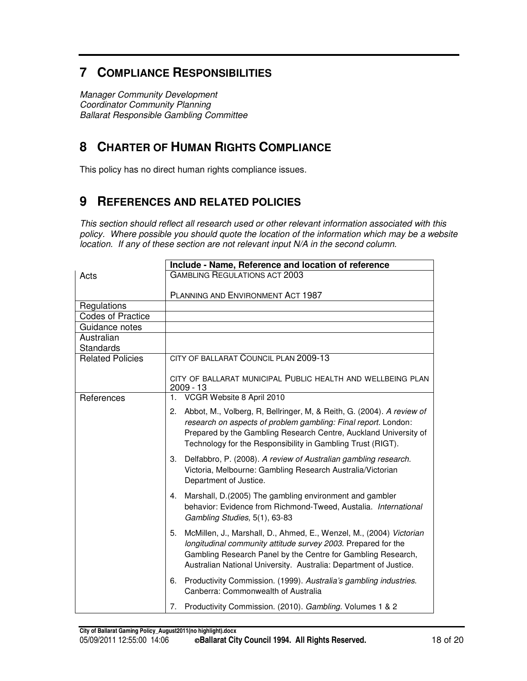## **7 COMPLIANCE RESPONSIBILITIES**

*Manager Community Development Coordinator Community Planning Ballarat Responsible Gambling Committee*

## **8 CHARTER OF HUMAN RIGHTS COMPLIANCE**

This policy has no direct human rights compliance issues.

## **9 REFERENCES AND RELATED POLICIES**

*This section should reflect all research used or other relevant information associated with this policy. Where possible you should quote the location of the information which may be a website location. If any of these section are not relevant input N/A in the second column.*

|                          | Include - Name, Reference and location of reference                                                                                                                                                                                                                              |
|--------------------------|----------------------------------------------------------------------------------------------------------------------------------------------------------------------------------------------------------------------------------------------------------------------------------|
| Acts                     | <b>GAMBLING REGULATIONS ACT 2003</b>                                                                                                                                                                                                                                             |
|                          | PLANNING AND ENVIRONMENT ACT 1987                                                                                                                                                                                                                                                |
| Regulations              |                                                                                                                                                                                                                                                                                  |
| <b>Codes of Practice</b> |                                                                                                                                                                                                                                                                                  |
| Guidance notes           |                                                                                                                                                                                                                                                                                  |
| Australian<br>Standards  |                                                                                                                                                                                                                                                                                  |
| <b>Related Policies</b>  | CITY OF BALLARAT COUNCIL PLAN 2009-13                                                                                                                                                                                                                                            |
|                          | CITY OF BALLARAT MUNICIPAL PUBLIC HEALTH AND WELLBEING PLAN<br>2009 - 13                                                                                                                                                                                                         |
| References               | VCGR Website 8 April 2010<br>1.                                                                                                                                                                                                                                                  |
|                          | Abbot, M., Volberg, R, Bellringer, M, & Reith, G. (2004). A review of<br>2.<br>research on aspects of problem gambling: Final report. London:<br>Prepared by the Gambling Research Centre, Auckland University of<br>Technology for the Responsibility in Gambling Trust (RIGT). |
|                          | 3. Delfabbro, P. (2008). A review of Australian gambling research.<br>Victoria, Melbourne: Gambling Research Australia/Victorian<br>Department of Justice.                                                                                                                       |
|                          | Marshall, D.(2005) The gambling environment and gambler<br>4.<br>behavior: Evidence from Richmond-Tweed, Austalia. International<br>Gambling Studies, 5(1), 63-83                                                                                                                |
|                          | McMillen, J., Marshall, D., Ahmed, E., Wenzel, M., (2004) Victorian<br>5.<br>longitudinal community attitude survey 2003. Prepared for the<br>Gambling Research Panel by the Centre for Gambling Research,<br>Australian National University. Australia: Department of Justice.  |
|                          | Productivity Commission. (1999). Australia's gambling industries.<br>6.<br>Canberra: Commonwealth of Australia                                                                                                                                                                   |
|                          | Productivity Commission. (2010). Gambling. Volumes 1 & 2<br>7.                                                                                                                                                                                                                   |